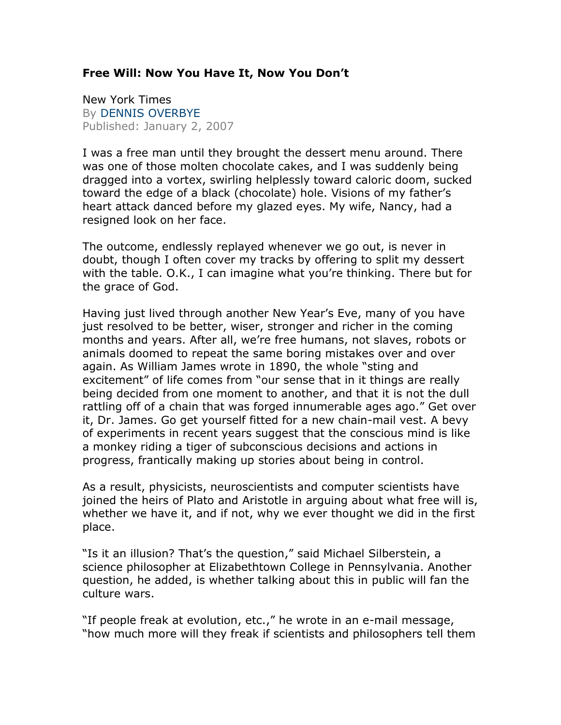## **Free Will: Now You Have It, Now You Don't**

New York Times By [DENNIS OVERBYE](http://topics.nytimes.com/top/reference/timestopics/people/o/dennis_overbye/index.html?inline=nyt-per) Published: January 2, 2007

I was a free man until they brought the dessert menu around. There was one of those molten chocolate cakes, and I was suddenly being dragged into a vortex, swirling helplessly toward caloric doom, sucked toward the edge of a black (chocolate) hole. Visions of my father's heart attack danced before my glazed eyes. My wife, Nancy, had a resigned look on her face.

The outcome, endlessly replayed whenever we go out, is never in doubt, though I often cover my tracks by offering to split my dessert with the table. O.K., I can imagine what you're thinking. There but for the grace of God.

Having just lived through another New Year's Eve, many of you have just resolved to be better, wiser, stronger and richer in the coming months and years. After all, we're free humans, not slaves, robots or animals doomed to repeat the same boring mistakes over and over again. As William James wrote in 1890, the whole "sting and excitement" of life comes from "our sense that in it things are really being decided from one moment to another, and that it is not the dull rattling off of a chain that was forged innumerable ages ago." Get over it, Dr. James. Go get yourself fitted for a new chain-mail vest. A bevy of experiments in recent years suggest that the conscious mind is like a monkey riding a tiger of subconscious decisions and actions in progress, frantically making up stories about being in control.

As a result, physicists, neuroscientists and computer scientists have joined the heirs of Plato and Aristotle in arguing about what free will is, whether we have it, and if not, why we ever thought we did in the first place.

"Is it an illusion? That's the question," said Michael Silberstein, a science philosopher at Elizabethtown College in Pennsylvania. Another question, he added, is whether talking about this in public will fan the culture wars.

"If people freak at evolution, etc.," he wrote in an e-mail message, "how much more will they freak if scientists and philosophers tell them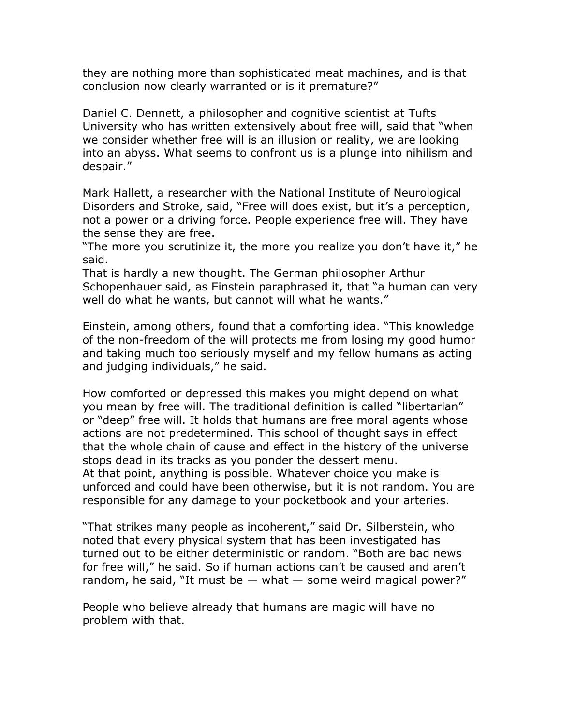they are nothing more than sophisticated meat machines, and is that conclusion now clearly warranted or is it premature?"

Daniel C. Dennett, a philosopher and cognitive scientist at [Tufts](http://topics.nytimes.com/top/reference/timestopics/organizations/t/tufts_university/index.html?inline=nyt-org)  [University](http://topics.nytimes.com/top/reference/timestopics/organizations/t/tufts_university/index.html?inline=nyt-org) who has written extensively about free will, said that "when we consider whether free will is an illusion or reality, we are looking into an abyss. What seems to confront us is a plunge into nihilism and despair."

Mark Hallett, a researcher with the National Institute of Neurological Disorders and Stroke, said, "Free will does exist, but it's a perception, not a power or a driving force. People experience free will. They have the sense they are free.

"The more you scrutinize it, the more you realize you don't have it," he said.

That is hardly a new thought. The German philosopher Arthur Schopenhauer said, as Einstein paraphrased it, that "a human can very well do what he wants, but cannot will what he wants."

Einstein, among others, found that a comforting idea. "This knowledge of the non-freedom of the will protects me from losing my good humor and taking much too seriously myself and my fellow humans as acting and judging individuals," he said.

How comforted or depressed this makes you might depend on what you mean by free will. The traditional definition is called "libertarian" or "deep" free will. It holds that humans are free moral agents whose actions are not predetermined. This school of thought says in effect that the whole chain of cause and effect in the history of the universe stops dead in its tracks as you ponder the dessert menu. At that point, anything is possible. Whatever choice you make is unforced and could have been otherwise, but it is not random. You are responsible for any damage to your pocketbook and your arteries.

"That strikes many people as incoherent," said Dr. Silberstein, who noted that every physical system that has been investigated has turned out to be either deterministic or random. "Both are bad news for free will," he said. So if human actions can't be caused and aren't random, he said, "It must be  $-$  what  $-$  some weird magical power?"

People who believe already that humans are magic will have no problem with that.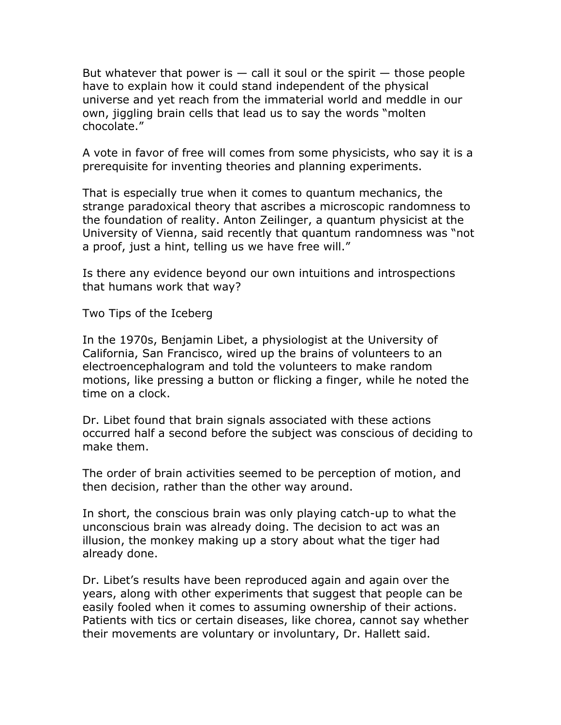But whatever that power is  $-$  call it soul or the spirit  $-$  those people have to explain how it could stand independent of the physical universe and yet reach from the immaterial world and meddle in our own, jiggling brain cells that lead us to say the words "molten chocolate."

A vote in favor of free will comes from some physicists, who say it is a prerequisite for inventing theories and planning experiments.

That is especially true when it comes to quantum mechanics, the strange paradoxical theory that ascribes a microscopic randomness to the foundation of reality. Anton Zeilinger, a quantum physicist at the University of Vienna, said recently that quantum randomness was "not a proof, just a hint, telling us we have free will."

Is there any evidence beyond our own intuitions and introspections that humans work that way?

Two Tips of the Iceberg

In the 1970s, Benjamin Libet, a physiologist at the [University of](http://topics.nytimes.com/top/reference/timestopics/organizations/u/university_of_california/index.html?inline=nyt-org)  [California,](http://topics.nytimes.com/top/reference/timestopics/organizations/u/university_of_california/index.html?inline=nyt-org) San Francisco, wired up the brains of volunteers to an electroencephalogram and told the volunteers to make random motions, like pressing a button or flicking a finger, while he noted the time on a clock.

Dr. Libet found that brain signals associated with these actions occurred half a second before the subject was conscious of deciding to make them.

The order of brain activities seemed to be perception of motion, and then decision, rather than the other way around.

In short, the conscious brain was only playing catch-up to what the unconscious brain was already doing. The decision to act was an illusion, the monkey making up a story about what the tiger had already done.

Dr. Libet's results have been reproduced again and again over the years, along with other experiments that suggest that people can be easily fooled when it comes to assuming ownership of their actions. Patients with tics or certain diseases, like chorea, cannot say whether their movements are voluntary or involuntary, Dr. Hallett said.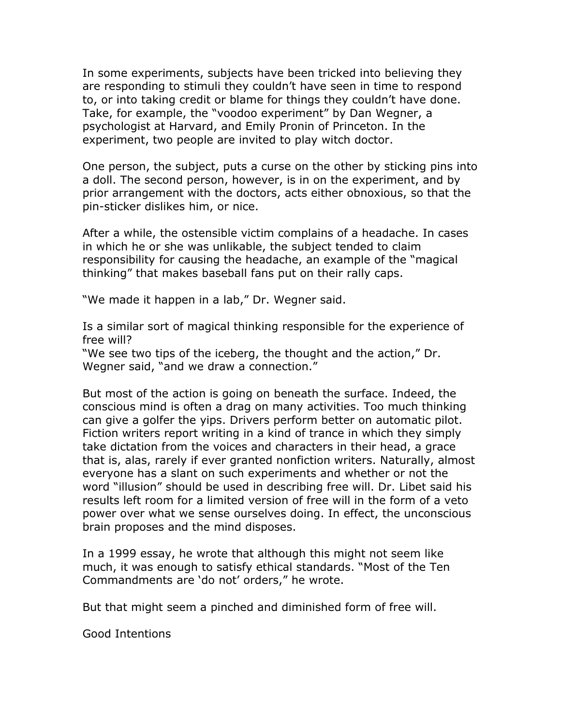In some experiments, subjects have been tricked into believing they are responding to stimuli they couldn't have seen in time to respond to, or into taking credit or blame for things they couldn't have done. Take, for example, the "voodoo experiment" by Dan Wegner, a psychologist at [Harvard,](http://topics.nytimes.com/top/reference/timestopics/organizations/h/harvard_university/index.html?inline=nyt-org) and Emily Pronin of Princeton. In the experiment, two people are invited to play witch doctor.

One person, the subject, puts a curse on the other by sticking pins into a doll. The second person, however, is in on the experiment, and by prior arrangement with the doctors, acts either obnoxious, so that the pin-sticker dislikes him, or nice.

After a while, the ostensible victim complains of a headache. In cases in which he or she was unlikable, the subject tended to claim responsibility for causing the headache, an example of the "magical thinking" that makes baseball fans put on their rally caps.

"We made it happen in a lab," Dr. Wegner said.

Is a similar sort of magical thinking responsible for the experience of free will?

"We see two tips of the iceberg, the thought and the action," Dr. Wegner said, "and we draw a connection."

But most of the action is going on beneath the surface. Indeed, the conscious mind is often a drag on many activities. Too much thinking can give a golfer the yips. Drivers perform better on automatic pilot. Fiction writers report writing in a kind of trance in which they simply take dictation from the voices and characters in their head, a grace that is, alas, rarely if ever granted nonfiction writers. Naturally, almost everyone has a slant on such experiments and whether or not the word "illusion" should be used in describing free will. Dr. Libet said his results left room for a limited version of free will in the form of a veto power over what we sense ourselves doing. In effect, the unconscious brain proposes and the mind disposes.

In a 1999 essay, he wrote that although this might not seem like much, it was enough to satisfy ethical standards. "Most of the Ten Commandments are 'do not' orders," he wrote.

But that might seem a pinched and diminished form of free will.

Good Intentions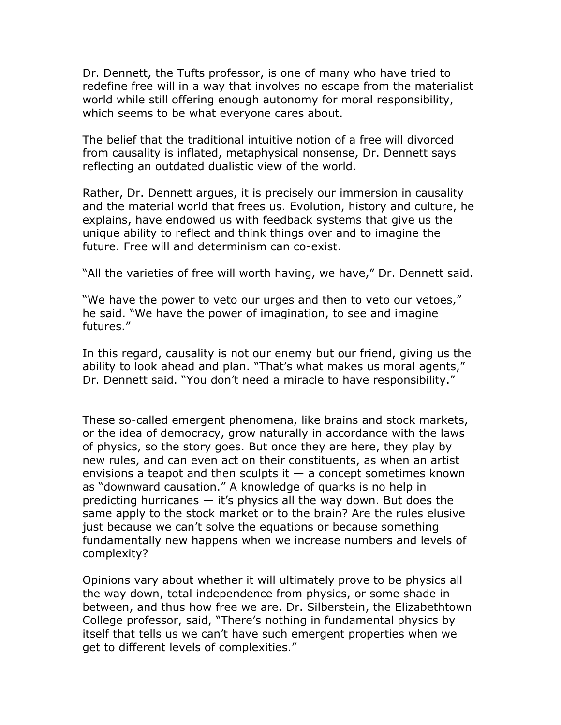Dr. Dennett, the Tufts professor, is one of many who have tried to redefine free will in a way that involves no escape from the materialist world while still offering enough autonomy for moral responsibility, which seems to be what everyone cares about.

The belief that the traditional intuitive notion of a free will divorced from causality is inflated, metaphysical nonsense, Dr. Dennett says reflecting an outdated dualistic view of the world.

Rather, Dr. Dennett argues, it is precisely our immersion in causality and the material world that frees us. Evolution, history and culture, he explains, have endowed us with feedback systems that give us the unique ability to reflect and think things over and to imagine the future. Free will and determinism can co-exist.

"All the varieties of free will worth having, we have," Dr. Dennett said.

"We have the power to veto our urges and then to veto our vetoes," he said. "We have the power of imagination, to see and imagine futures."

In this regard, causality is not our enemy but our friend, giving us the ability to look ahead and plan. "That's what makes us moral agents," Dr. Dennett said. "You don't need a miracle to have responsibility."

These so-called emergent phenomena, like brains and stock markets, or the idea of democracy, grow naturally in accordance with the laws of physics, so the story goes. But once they are here, they play by new rules, and can even act on their constituents, as when an artist envisions a teapot and then sculpts it  $-$  a concept sometimes known as "downward causation." A knowledge of quarks is no help in predicting [hurricanes](http://topics.nytimes.com/top/reference/timestopics/subjects/h/hurricanes_and_tropical_storms/index.html?inline=nyt-classifier)  $-$  it's physics all the way down. But does the same apply to the stock market or to the brain? Are the rules elusive just because we can't solve the equations or because something fundamentally new happens when we increase numbers and levels of complexity?

Opinions vary about whether it will ultimately prove to be physics all the way down, total independence from physics, or some shade in between, and thus how free we are. Dr. Silberstein, the Elizabethtown College professor, said, "There's nothing in fundamental physics by itself that tells us we can't have such emergent properties when we get to different levels of complexities."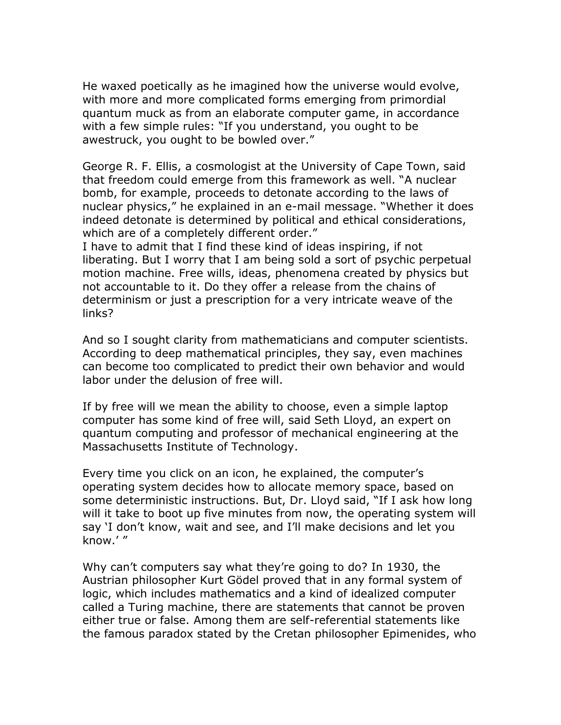He waxed poetically as he imagined how the universe would evolve, with more and more complicated forms emerging from primordial quantum muck as from an elaborate computer game, in accordance with a few simple rules: "If you understand, you ought to be awestruck, you ought to be bowled over."

George R. F. Ellis, a cosmologist at the University of Cape Town, said that freedom could emerge from this framework as well. "A nuclear bomb, for example, proceeds to detonate according to the laws of nuclear physics," he explained in an e-mail message. "Whether it does indeed detonate is determined by political and ethical considerations, which are of a completely different order."

I have to admit that I find these kind of ideas inspiring, if not liberating. But I worry that I am being sold a sort of psychic perpetual motion machine. Free wills, ideas, phenomena created by physics but not accountable to it. Do they offer a release from the chains of determinism or just a prescription for a very intricate weave of the links?

And so I sought clarity from mathematicians and computer scientists. According to deep mathematical principles, they say, even machines can become too complicated to predict their own behavior and would labor under the delusion of free will.

If by free will we mean the ability to choose, even a simple laptop computer has some kind of free will, said Seth Lloyd, an expert on quantum computing and professor of mechanical engineering at the [Massachusetts Institute of Technology.](http://topics.nytimes.com/top/reference/timestopics/organizations/m/massachusetts_institute_of_technology/index.html?inline=nyt-org)

Every time you click on an icon, he explained, the computer's operating system decides how to allocate memory space, based on some deterministic instructions. But, Dr. Lloyd said, "If I ask how long will it take to boot up five minutes from now, the operating system will say 'I don't know, wait and see, and I'll make decisions and let you know.' "

Why can't computers say what they're going to do? In 1930, the Austrian philosopher Kurt Gödel proved that in any formal system of logic, which includes mathematics and a kind of idealized computer called a Turing machine, there are statements that cannot be proven either true or false. Among them are self-referential statements like the famous paradox stated by the Cretan philosopher Epimenides, who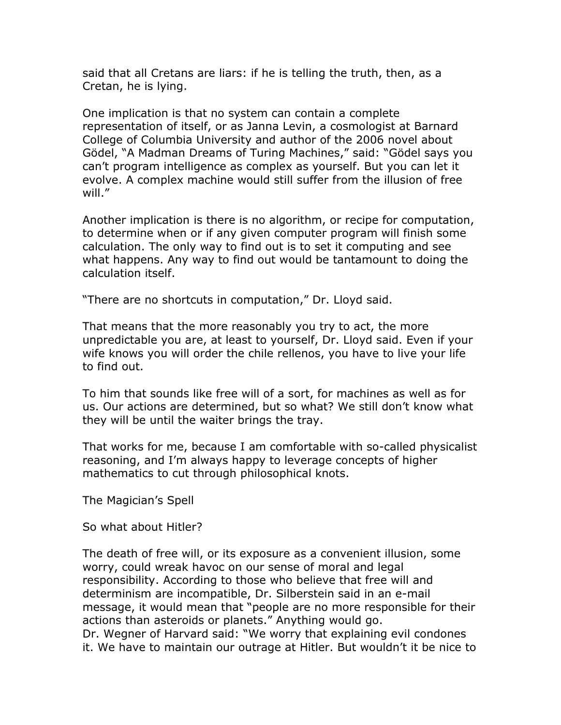said that all Cretans are liars: if he is telling the truth, then, as a Cretan, he is lying.

One implication is that no system can contain a complete representation of itself, or as Janna Levin, a cosmologist at [Barnard](http://topics.nytimes.com/top/reference/timestopics/organizations/b/barnard_college/index.html?inline=nyt-org)  [College](http://topics.nytimes.com/top/reference/timestopics/organizations/b/barnard_college/index.html?inline=nyt-org) of [Columbia University](http://topics.nytimes.com/top/reference/timestopics/organizations/c/columbia_university/index.html?inline=nyt-org) and author of the 2006 novel about Gödel, "A Madman Dreams of Turing Machines," said: "Gödel says you can't program intelligence as complex as yourself. But you can let it evolve. A complex machine would still suffer from the illusion of free will."

Another implication is there is no algorithm, or recipe for computation, to determine when or if any given computer program will finish some calculation. The only way to find out is to set it computing and see what happens. Any way to find out would be tantamount to doing the calculation itself.

"There are no shortcuts in computation," Dr. Lloyd said.

That means that the more reasonably you try to act, the more unpredictable you are, at least to yourself, Dr. Lloyd said. Even if your wife knows you will order the chile rellenos, you have to live your life to find out.

To him that sounds like free will of a sort, for machines as well as for us. Our actions are determined, but so what? We still don't know what they will be until the waiter brings the tray.

That works for me, because I am comfortable with so-called physicalist reasoning, and I'm always happy to leverage concepts of higher mathematics to cut through philosophical knots.

The Magician's Spell

So what about [Hitler?](http://topics.nytimes.com/top/reference/timestopics/people/h/adolf_hitler/index.html?inline=nyt-per)

The death of free will, or its exposure as a convenient illusion, some worry, could wreak havoc on our sense of moral and legal responsibility. According to those who believe that free will and determinism are incompatible, Dr. Silberstein said in an e-mail message, it would mean that "people are no more responsible for their actions than asteroids or planets." Anything would go. Dr. Wegner of Harvard said: "We worry that explaining evil condones

it. We have to maintain our outrage at Hitler. But wouldn't it be nice to